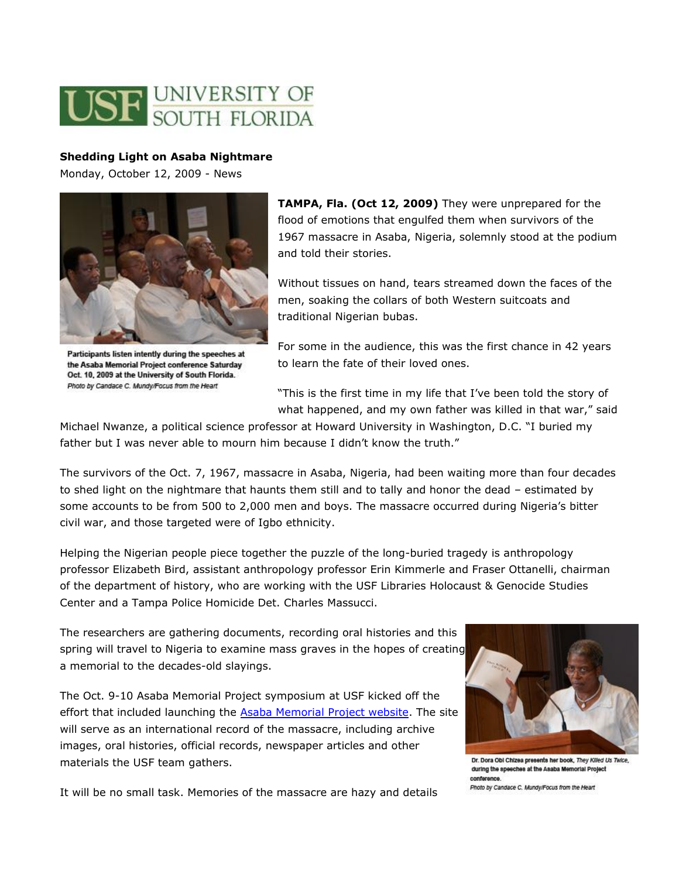

## **Shedding Light on Asaba Nightmare**

Monday, October 12, 2009 - News



Participants listen intently during the speeches at the Asaba Memorial Project conference Saturday Oct. 10, 2009 at the University of South Florida. Photo by Candace C. Mundy/Focus from the Heart

**TAMPA, Fla. (Oct 12, 2009)** They were unprepared for the flood of emotions that engulfed them when survivors of the 1967 massacre in Asaba, Nigeria, solemnly stood at the podium and told their stories.

Without tissues on hand, tears streamed down the faces of the men, soaking the collars of both Western suitcoats and traditional Nigerian bubas.

For some in the audience, this was the first chance in 42 years to learn the fate of their loved ones.

"This is the first time in my life that I've been told the story of what happened, and my own father was killed in that war," said

Michael Nwanze, a political science professor at Howard University in Washington, D.C. "I buried my father but I was never able to mourn him because I didn't know the truth."

The survivors of the Oct. 7, 1967, massacre in Asaba, Nigeria, had been waiting more than four decades to shed light on the nightmare that haunts them still and to tally and honor the dead – estimated by some accounts to be from 500 to 2,000 men and boys. The massacre occurred during Nigeria's bitter civil war, and those targeted were of Igbo ethnicity.

Helping the Nigerian people piece together the puzzle of the long-buried tragedy is anthropology professor Elizabeth Bird, assistant anthropology professor Erin Kimmerle and Fraser Ottanelli, chairman of the department of history, who are working with the USF Libraries Holocaust & Genocide Studies Center and a Tampa Police Homicide Det. Charles Massucci.

The researchers are gathering documents, recording oral histories and this spring will travel to Nigeria to examine mass graves in the hopes of creating a memorial to the decades-old slayings.

The Oct. 9-10 Asaba Memorial Project symposium at USF kicked off the effort that included launching the **Asaba Memorial Project website**. The site will serve as an international record of the massacre, including archive images, oral histories, official records, newspaper articles and other materials the USF team gathers.



Dr. Dora Obl Chizea presents her book, They Killed Us Twice, during the speeches at the Asaba Memorial Project conference Photo by Candace C. Mundy/Focus from the Heart

It will be no small task. Memories of the massacre are hazy and details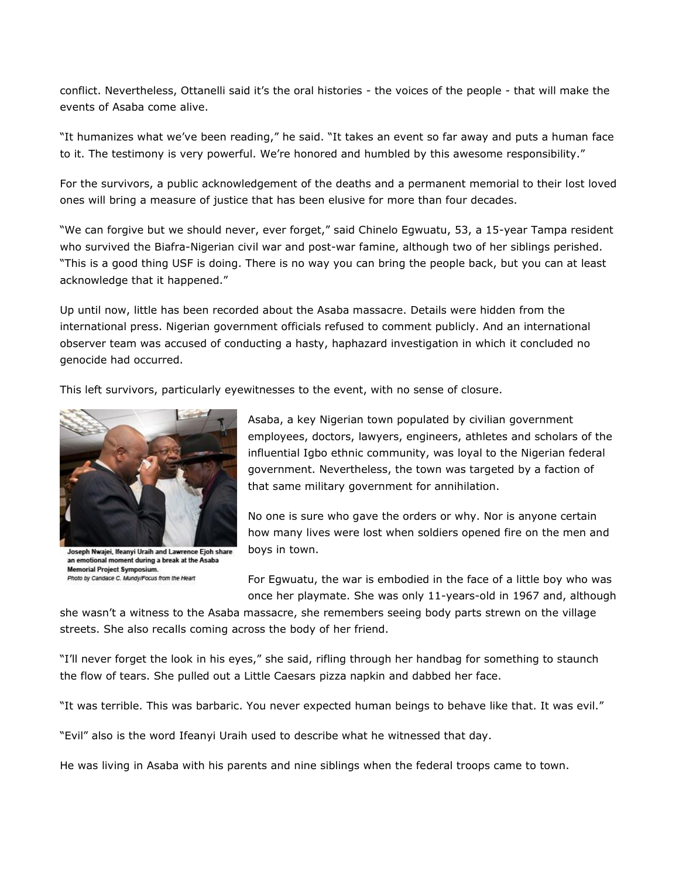conflict. Nevertheless, Ottanelli said it's the oral histories - the voices of the people - that will make the events of Asaba come alive.

"It humanizes what we've been reading," he said. "It takes an event so far away and puts a human face to it. The testimony is very powerful. We're honored and humbled by this awesome responsibility."

For the survivors, a public acknowledgement of the deaths and a permanent memorial to their lost loved ones will bring a measure of justice that has been elusive for more than four decades.

"We can forgive but we should never, ever forget," said Chinelo Egwuatu, 53, a 15-year Tampa resident who survived the Biafra-Nigerian civil war and post-war famine, although two of her siblings perished. "This is a good thing USF is doing. There is no way you can bring the people back, but you can at least acknowledge that it happened."

Up until now, little has been recorded about the Asaba massacre. Details were hidden from the international press. Nigerian government officials refused to comment publicly. And an international observer team was accused of conducting a hasty, haphazard investigation in which it concluded no genocide had occurred.

This left survivors, particularly eyewitnesses to the event, with no sense of closure.



Joseph Nwajei, Ifeanyi Uraih and Lawrence Ejoh share an emotional moment during a break at the Asaba **Memorial Project Symposium.** Photo by Candace C. Mundy/Focus from the Heart

Asaba, a key Nigerian town populated by civilian government employees, doctors, lawyers, engineers, athletes and scholars of the influential Igbo ethnic community, was loyal to the Nigerian federal government. Nevertheless, the town was targeted by a faction of that same military government for annihilation.

No one is sure who gave the orders or why. Nor is anyone certain how many lives were lost when soldiers opened fire on the men and boys in town.

For Egwuatu, the war is embodied in the face of a little boy who was once her playmate. She was only 11-years-old in 1967 and, although

she wasn't a witness to the Asaba massacre, she remembers seeing body parts strewn on the village streets. She also recalls coming across the body of her friend.

"I'll never forget the look in his eyes," she said, rifling through her handbag for something to staunch the flow of tears. She pulled out a Little Caesars pizza napkin and dabbed her face.

"It was terrible. This was barbaric. You never expected human beings to behave like that. It was evil."

"Evil" also is the word Ifeanyi Uraih used to describe what he witnessed that day.

He was living in Asaba with his parents and nine siblings when the federal troops came to town.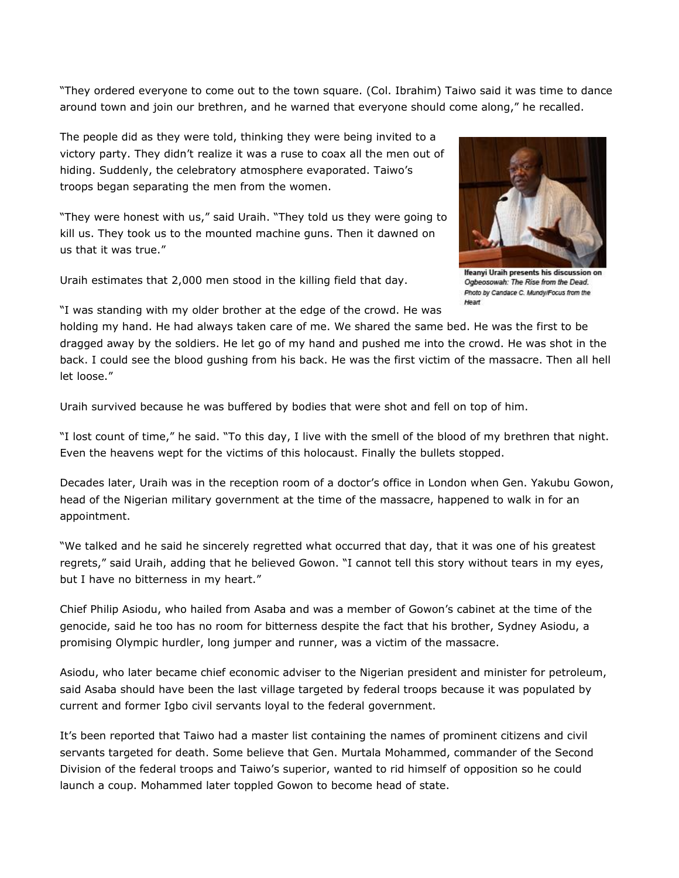"They ordered everyone to come out to the town square. (Col. Ibrahim) Taiwo said it was time to dance around town and join our brethren, and he warned that everyone should come along," he recalled.

The people did as they were told, thinking they were being invited to a victory party. They didn't realize it was a ruse to coax all the men out of hiding. Suddenly, the celebratory atmosphere evaporated. Taiwo's troops began separating the men from the women.

"They were honest with us," said Uraih. "They told us they were going to kill us. They took us to the mounted machine guns. Then it dawned on us that it was true."

Uraih estimates that 2,000 men stood in the killing field that day.



Ifeanyi Uraih presents his discussion on Ogbeosowah: The Rise from the Dead. Photo by Candace C. Mundy/Focus from the Heart

"I was standing with my older brother at the edge of the crowd. He was

holding my hand. He had always taken care of me. We shared the same bed. He was the first to be dragged away by the soldiers. He let go of my hand and pushed me into the crowd. He was shot in the back. I could see the blood gushing from his back. He was the first victim of the massacre. Then all hell let loose."

Uraih survived because he was buffered by bodies that were shot and fell on top of him.

"I lost count of time," he said. "To this day, I live with the smell of the blood of my brethren that night. Even the heavens wept for the victims of this holocaust. Finally the bullets stopped.

Decades later, Uraih was in the reception room of a doctor's office in London when Gen. Yakubu Gowon, head of the Nigerian military government at the time of the massacre, happened to walk in for an appointment.

"We talked and he said he sincerely regretted what occurred that day, that it was one of his greatest regrets," said Uraih, adding that he believed Gowon. "I cannot tell this story without tears in my eyes, but I have no bitterness in my heart."

Chief Philip Asiodu, who hailed from Asaba and was a member of Gowon's cabinet at the time of the genocide, said he too has no room for bitterness despite the fact that his brother, Sydney Asiodu, a promising Olympic hurdler, long jumper and runner, was a victim of the massacre.

Asiodu, who later became chief economic adviser to the Nigerian president and minister for petroleum, said Asaba should have been the last village targeted by federal troops because it was populated by current and former Igbo civil servants loyal to the federal government.

It's been reported that Taiwo had a master list containing the names of prominent citizens and civil servants targeted for death. Some believe that Gen. Murtala Mohammed, commander of the Second Division of the federal troops and Taiwo's superior, wanted to rid himself of opposition so he could launch a coup. Mohammed later toppled Gowon to become head of state.